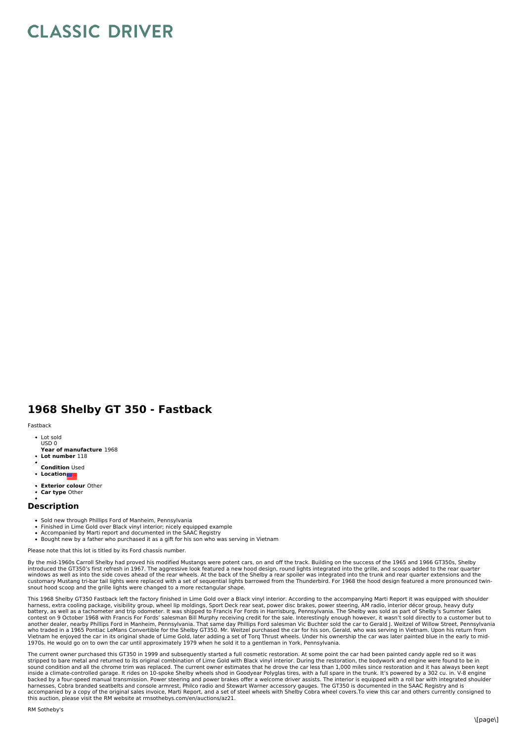## **CLASSIC DRIVER**

## **1968 Shelby GT 350 - Fastback**

## Fastback

- Lot sold USD 0
- **Year of manufacture** 1968
- **Lot number** 118
- **Condition** Used
- **Location**
- **Exterior colour** Other
- **Car type** Other

## **Description**

- 
- Sold new through Phillips Ford of Manheim, Pennsylvania Finished in Lime Gold over Black vinyl interior; nicely equipped example
- Accompanied by Marti report and documented in the SAAC Registry<br>Bought new by a father who purchased it as a gift for his son who was serving in Vietnam

Please note that this lot is titled by its Ford chassis number.

By the mid-1960s Carroll Shelby had proved his modified Mustangs were potent cars, on and off the track. Building on the success of the 1965 and 1966 GT350s, Shelby<br>introduced the GT350's first refresh in 1967. The aggress customary Mustang tri-bar tail lights were replaced with a set of sequential lights barrowed from the Thunderbird. For 1968 the hood design featured a more pronounced twinsnout hood scoop and the grille lights were changed to a more rectangular shape.

This 1968 Shelby GT350 Fastback left the factory finished in Lime Gold over a Black vinyl interior. According to the accompanying Marti Report it was equipped with shoulder<br>harness, extra cooling package, visibility group, battery, as well as a tachometer and trip odometer. It was shipped to Francis For Fords in Harrisburg, Pennsylvania. The Shelby was sold as part of Shelby's Summer Sales<br>contest on 9 October 1968 with Francis For Fords' sa another dealer, nearby Phillips Ford in Manheim, Pennsylvania. That same day Phillips Ford salesman Vic Buchter sold the car to Gerald J. Weitzel of Willow Street, Pennsylvania<br>who traded in a 1965 Pontiac LeMans Convertib Vietnam he enjoyed the car in its original shade of Lime Gold, later adding a set of Torq Thrust wheels. Under his ownership the car was later painted blue in the early to mid-<br>1970s. He would go on to own the car until ap

The current owner purchased this GT350 in 1999 and subsequently started a full cosmetic restoration. At some point the car had been painted candy apple red so it was<br>stripped to bare metal and returned to its original comb inside a climate-controlled garage. It rides on 10-spoke Shelby wheels shod in Goodyear Polyglas tires, with a full spare in the trunk. It's powered by a 302 cu. in. V-8 engine<br>backed by a four-speed manual transmission. P harnesses, Cobra branded seatbelts and console armrest, Philco radio and Stewart Warner accessory gauges. The GT350 is documented in the SAAC Registry and is<br>accompanied by a copy of the original sales invoice, Marti Repor this auction, please visit the RM website at rmsothebys.com/en/auctions/az21.